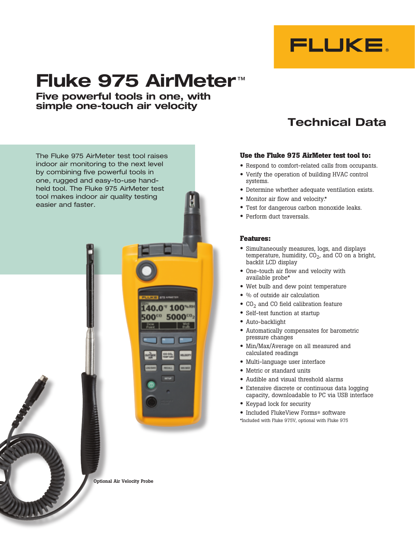

# **Fluke 975 AirMeter** ™

**Five powerful tools in one, with simple one-touch air velocity**



# **Technical Data**

#### **Use the Fluke 975 AirMeter test tool to:**

- • Respond to comfort-related calls from occupants.
- • Verify the operation of building HVAC control systems.
- Determine whether adequate ventilation exists.
- Monitor air flow and velocity.\*
- Test for dangerous carbon monoxide leaks.
- Perform duct traversals.

#### **Features:**

- • Simultaneously measures, logs, and displays temperature, humidity,  $CO<sub>2</sub>$ , and CO on a bright, backlit LCD display
- One-touch air flow and velocity with available probe\*
- Wet bulb and dew point temperature
- % of outside air calculation
- $\bullet$  CO<sub>2</sub> and CO field calibration feature
- Self-test function at startup
- Auto-backlight
- • Automatically compensates for barometric pressure changes
- Min/Max/Average on all measured and calculated readings
- • Multi-language user interface
- Metric or standard units
- • Audible and visual threshold alarms
- Extensive discrete or continuous data logging capacity, downloadable to PC via USB interface
- • Keypad lock for security
- Included FlukeView Forms® software
- \*Included with Fluke 975V, optional with Fluke 975